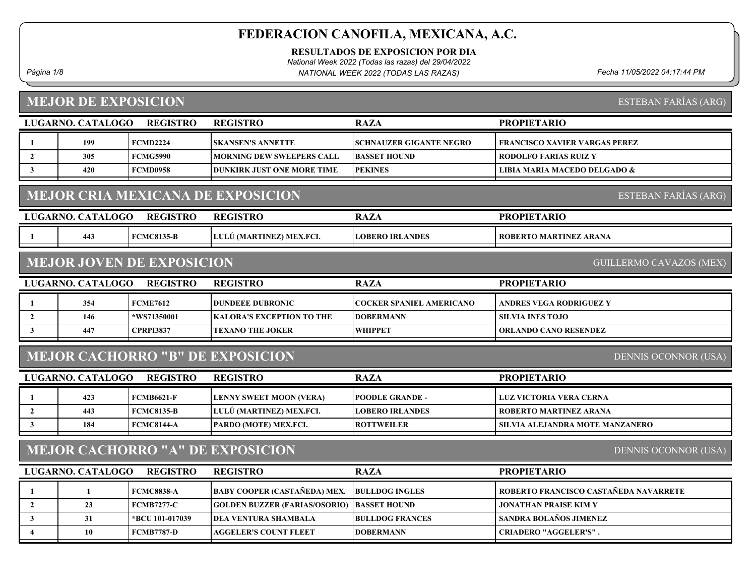RESULTADOS DE EXPOSICION POR DIA

National Week 2022 (Todas las razas) del 29/04/2022

Página 1/8 Fecha 11/05/2022 04:17:44 PM NATIONAL WEEK 2022 (TODAS LAS RAZAS)

# MEJOR DE EXPOSICION

ESTEBAN FARÍAS (ARG)

|                                                                         | LUGARNO. CATALOGO | <b>REGISTRO</b>                  | <b>REGISTRO</b>                         | <b>RAZA</b>              | <b>PROPIETARIO</b>                    |  |  |
|-------------------------------------------------------------------------|-------------------|----------------------------------|-----------------------------------------|--------------------------|---------------------------------------|--|--|
| -1                                                                      | 199               | <b>FCMD2224</b>                  | <b>SKANSEN'S ANNETTE</b>                | SCHNAUZER GIGANTE NEGRO  | FRANCISCO XAVIER VARGAS PEREZ         |  |  |
| $\overline{2}$                                                          | 305               | <b>FCMG5990</b>                  | <b>MORNING DEW SWEEPERS CALL</b>        | <b>BASSET HOUND</b>      | <b>RODOLFO FARIAS RUIZ Y</b>          |  |  |
| $\mathbf{3}$                                                            | 420               | <b>FCMD0958</b>                  | <b>DUNKIRK JUST ONE MORE TIME</b>       | <b>PEKINES</b>           | LIBIA MARIA MACEDO DELGADO &          |  |  |
| <b>MEJOR CRIA MEXICANA DE EXPOSICION</b><br><b>ESTEBAN FARÍAS (ARG)</b> |                   |                                  |                                         |                          |                                       |  |  |
|                                                                         | LUGARNO. CATALOGO | <b>REGISTRO</b>                  | <b>REGISTRO</b>                         | <b>RAZA</b>              | <b>PROPIETARIO</b>                    |  |  |
| 1                                                                       | 443               | <b>FCMC8135-B</b>                | LULÚ (MARTINEZ) MEX.FCI.                | <b>LOBERO IRLANDES</b>   | <b>ROBERTO MARTINEZ ARANA</b>         |  |  |
|                                                                         |                   | <b>MEJOR JOVEN DE EXPOSICION</b> |                                         |                          | <b>GUILLERMO CAVAZOS (MEX)</b>        |  |  |
|                                                                         | LUGARNO. CATALOGO | <b>REGISTRO</b>                  | <b>REGISTRO</b>                         | <b>RAZA</b>              | <b>PROPIETARIO</b>                    |  |  |
|                                                                         | 354               | <b>FCME7612</b>                  | <b>DUNDEEE DUBRONIC</b>                 | COCKER SPANIEL AMERICANO | <b>ANDRES VEGA RODRIGUEZ Y</b>        |  |  |
| $\overline{2}$                                                          | 146               | *WS71350001                      | <b>KALORA'S EXCEPTION TO THE</b>        | <b>DOBERMANN</b>         | <b>SILVIA INES TOJO</b>               |  |  |
| $\mathbf{3}$                                                            | 447               | <b>CPRPI3837</b>                 | <b>TEXANO THE JOKER</b>                 | <b>WHIPPET</b>           | <b>ORLANDO CANO RESENDEZ</b>          |  |  |
|                                                                         |                   |                                  | <b>MEJOR CACHORRO "B" DE EXPOSICION</b> |                          | <b>DENNIS OCONNOR (USA)</b>           |  |  |
|                                                                         | LUGARNO. CATALOGO | <b>REGISTRO</b>                  | <b>REGISTRO</b>                         | <b>RAZA</b>              | <b>PROPIETARIO</b>                    |  |  |
| -1                                                                      | 423               | <b>FCMB6621-F</b>                | <b>LENNY SWEET MOON (VERA)</b>          | <b>POODLE GRANDE -</b>   | LUZ VICTORIA VERA CERNA               |  |  |
| $\mathbf{2}$                                                            | 443               | <b>FCMC8135-B</b>                | LULÚ (MARTINEZ) MEX.FCI.                | <b>LOBERO IRLANDES</b>   | <b>ROBERTO MARTINEZ ARANA</b>         |  |  |
| $\mathbf{3}$                                                            | 184               | <b>FCMC8144-A</b>                | PARDO (MOTE) MEX.FCI.                   | <b>ROTTWEILER</b>        | SILVIA ALEJANDRA MOTE MANZANERO       |  |  |
| <b>MEJOR CACHORRO "A" DE EXPOSICION</b><br><b>DENNIS OCONNOR (USA)</b>  |                   |                                  |                                         |                          |                                       |  |  |
|                                                                         | LUGARNO. CATALOGO | <b>REGISTRO</b>                  | <b>REGISTRO</b>                         | <b>RAZA</b>              | <b>PROPIETARIO</b>                    |  |  |
| 1                                                                       | 1                 | <b>FCMC8838-A</b>                | <b>BABY COOPER (CASTAÑEDA) MEX.</b>     | <b>BULLDOG INGLES</b>    | ROBERTO FRANCISCO CASTAÑEDA NAVARRETE |  |  |
| $\overline{2}$                                                          | 23                | <b>FCMB7277-C</b>                | <b>GOLDEN BUZZER (FARIAS/OSORIO)</b>    | <b>BASSET HOUND</b>      | <b>JONATHAN PRAISE KIM Y</b>          |  |  |
| $\mathbf{3}$                                                            | 31                | *BCU 101-017039                  | <b>DEA VENTURA SHAMBALA</b>             | <b>BULLDOG FRANCES</b>   | SANDRA BOLAÑOS JIMENEZ                |  |  |
| $\overline{4}$                                                          | 10                | <b>FCMB7787-D</b>                | <b>AGGELER'S COUNT FLEET</b>            | <b>DOBERMANN</b>         | <b>CRIADERO "AGGELER'S".</b>          |  |  |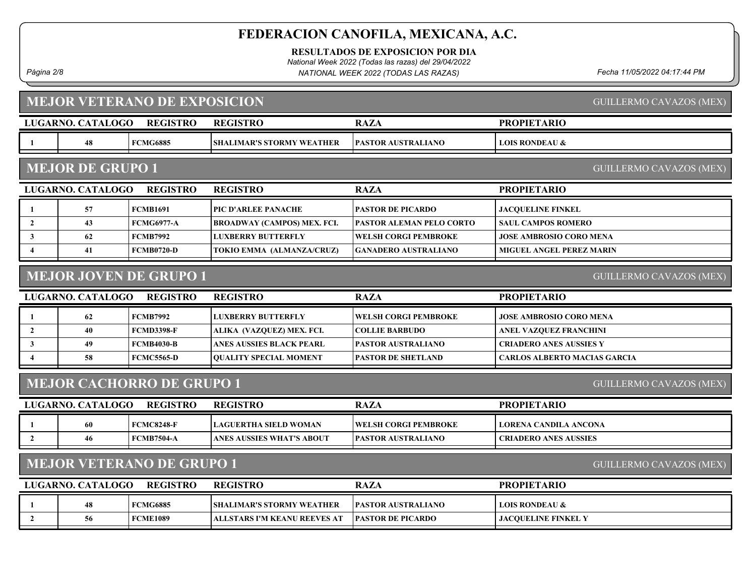RESULTADOS DE EXPOSICION POR DIA

National Week 2022 (Todas las razas) del 29/04/2022

Página 2/8 Fecha 11/05/2022 04:17:44 PM NATIONAL WEEK 2022 (TODAS LAS RAZAS)

GUILLERMO CAVAZOS (MEX)

# MEJOR VETERANO DE EXPOSICION

|                                                                    | LUGARNO. CATALOGO       | <b>REGISTRO</b>                  | <b>REGISTRO</b>                    | <b>RAZA</b>                     | <b>PROPIETARIO</b>                  |
|--------------------------------------------------------------------|-------------------------|----------------------------------|------------------------------------|---------------------------------|-------------------------------------|
|                                                                    | 48                      | <b>FCMG6885</b>                  | <b>SHALIMAR'S STORMY WEATHER</b>   | <b>PASTOR AUSTRALIANO</b>       | <b>LOIS RONDEAU &amp;</b>           |
|                                                                    |                         |                                  |                                    |                                 |                                     |
|                                                                    | <b>MEJOR DE GRUPO 1</b> |                                  |                                    |                                 | <b>GUILLERMO CAVAZOS (MEX)</b>      |
|                                                                    | LUGARNO. CATALOGO       | <b>REGISTRO</b>                  | <b>REGISTRO</b>                    | <b>RAZA</b>                     | <b>PROPIETARIO</b>                  |
|                                                                    | 57                      | <b>FCMB1691</b>                  | PIC D'ARLEE PANACHE                | <b>PASTOR DE PICARDO</b>        | <b>JACQUELINE FINKEL</b>            |
| $\overline{2}$                                                     | 43                      | <b>FCMG6977-A</b>                | <b>BROADWAY (CAMPOS) MEX. FCI.</b> | <b>PASTOR ALEMAN PELO CORTO</b> | <b>SAUL CAMPOS ROMERO</b>           |
| 3                                                                  | 62                      | <b>FCMB7992</b>                  | <b>LUXBERRY BUTTERFLY</b>          | <b>WELSH CORGI PEMBROKE</b>     | <b>JOSE AMBROSIO CORO MENA</b>      |
| $\overline{\mathbf{4}}$                                            | 41                      | <b>FCMB0720-D</b>                | TOKIO EMMA (ALMANZA/CRUZ)          | <b>GANADERO AUSTRALIANO</b>     | <b>MIGUEL ANGEL PEREZ MARIN</b>     |
|                                                                    |                         | <b>MEJOR JOVEN DE GRUPO 1</b>    |                                    |                                 | <b>GUILLERMO CAVAZOS (MEX)</b>      |
|                                                                    | LUGARNO. CATALOGO       | <b>REGISTRO</b>                  | <b>REGISTRO</b>                    | <b>RAZA</b>                     | <b>PROPIETARIO</b>                  |
|                                                                    | 62                      | <b>FCMB7992</b>                  | <b>LUXBERRY BUTTERFLY</b>          | <b>WELSH CORGI PEMBROKE</b>     | JOSE AMBROSIO CORO MENA             |
| $\overline{2}$                                                     | 40                      | <b>FCMD3398-F</b>                | ALIKA (VAZQUEZ) MEX. FCI.          | <b>COLLIE BARBUDO</b>           | ANEL VAZQUEZ FRANCHINI              |
| 3                                                                  | 49                      | <b>FCMB4030-B</b>                | <b>ANES AUSSIES BLACK PEARL</b>    | PASTOR AUSTRALIANO              | <b>CRIADERO ANES AUSSIES Y</b>      |
|                                                                    | 58                      | <b>FCMC5565-D</b>                | <b>QUALITY SPECIAL MOMENT</b>      | <b>PASTOR DE SHETLAND</b>       | <b>CARLOS ALBERTO MACIAS GARCIA</b> |
|                                                                    |                         | <b>MEJOR CACHORRO DE GRUPO 1</b> |                                    |                                 | <b>GUILLERMO CAVAZOS (MEX)</b>      |
|                                                                    | LUGARNO. CATALOGO       | <b>REGISTRO</b>                  | <b>REGISTRO</b>                    | <b>RAZA</b>                     | <b>PROPIETARIO</b>                  |
| 1                                                                  | 60                      | <b>FCMC8248-F</b>                | <b>LAGUERTHA SIELD WOMAN</b>       | <b>WELSH CORGI PEMBROKE</b>     | <b>LORENA CANDILA ANCONA</b>        |
| $\overline{2}$                                                     | 46                      | <b>FCMB7504-A</b>                | ANES AUSSIES WHAT'S ABOUT          | <b>PASTOR AUSTRALIANO</b>       | <b>CRIADERO ANES AUSSIES</b>        |
| <b>MEJOR VETERANO DE GRUPO 1</b><br><b>GUILLERMO CAVAZOS (MEX)</b> |                         |                                  |                                    |                                 |                                     |
|                                                                    | LUGARNO. CATALOGO       | <b>REGISTRO</b>                  | <b>REGISTRO</b>                    | <b>RAZA</b>                     | <b>PROPIETARIO</b>                  |
|                                                                    | 48                      | <b>FCMG6885</b>                  | SHALIMAR'S STORMY WEATHER          | <b>PASTOR AUSTRALIANO</b>       | <b>LOIS RONDEAU &amp;</b>           |
| $\overline{2}$                                                     | 56                      | <b>FCME1089</b>                  | ALLSTARS I'M KEANU REEVES AT       | <b>PASTOR DE PICARDO</b>        | <b>JACQUELINE FINKEL Y</b>          |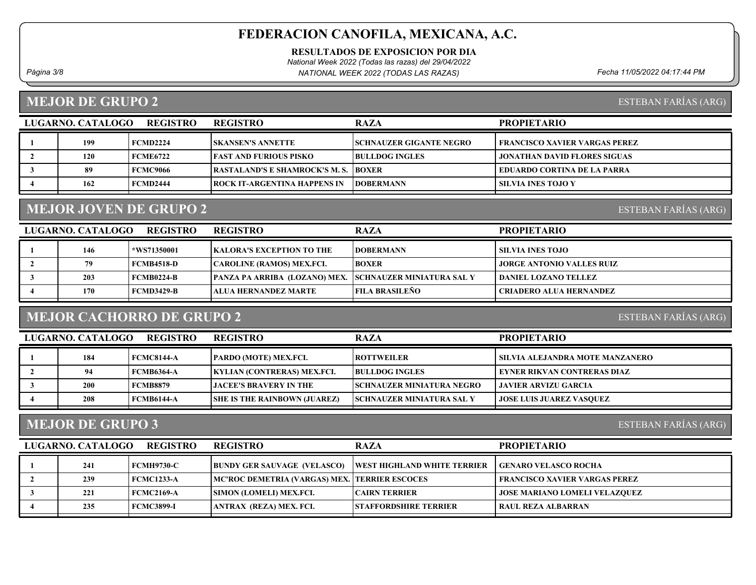RESULTADOS DE EXPOSICION POR DIA

National Week 2022 (Todas las razas) del 29/04/2022

Página 3/8 Fecha 11/05/2022 04:17:44 PM NATIONAL WEEK 2022 (TODAS LAS RAZAS)

#### MEJOR DE GRUPO 2

ESTEBAN FARÍAS (ARG)

ESTEBAN FARÍAS (ARG)

| LUGARNO, CATALOGO | <b>REGISTRO</b> | <b>REGISTRO</b>                               | <b>RAZA</b>                    | <b>PROPIETARIO</b>                  |
|-------------------|-----------------|-----------------------------------------------|--------------------------------|-------------------------------------|
| 199               | <b>FCMD2224</b> | <b>ISKANSEN'S ANNETTE</b>                     | <b>SCHNAUZER GIGANTE NEGRO</b> | FRANCISCO XAVIER VARGAS PEREZ-      |
| 120               | <b>FCME6722</b> | <b>FAST AND FURIOUS PISKO</b>                 | <b>BULLDOG INGLES</b>          | <b>JONATHAN DAVID FLORES SIGUAS</b> |
| 89                | FCMC9066        | <b>TRASTALAND'S E SHAMROCK'S M. S. TBOXER</b> |                                | EDUARDO CORTINA DE LA PARRA         |
| 162               | <b>FCMD2444</b> | <b>IROCK IT-ARGENTINA HAPPENS IN</b>          | <b>IDOBERMANN</b>              | <b>SILVIA INES TOJO Y</b>           |

# MEJOR JOVEN DE GRUPO 2

LUGARNO. CATALOGO REGISTRO REGISTRO RAZA PROPIETARIO 1 | 146 |\*WS71350001 | KALORA'S EXCEPTION TO THE | DOBERMANN | SILVIA INES TOJO 2 79 FEMB4518-D CAROLINE (RAMOS) MEX.FCI. BOXER JORGE ANTONIO VALLES RUIZ 3 | 203 FCMB0224-B PANZA PA ARRIBA (LOZANO) MEX. SCHNAUZER MINIATURA SAL Y DANIEL LOZANO TELLEZ 4 170 FCMD3429-B ALUA HERNANDEZ MARTE CRIADERO ALUA HERNANDEZ FILA BRASILEÑO

#### MEJOR CACHORRO DE GRUPO 2

ESTEBAN FARÍAS (ARG)

| LUGARNO. CATALOGO | <b>REGISTRO</b> | <b>REGISTRO</b>                     | <b>RAZA</b>                       | <b>PROPIETARIO</b>              |
|-------------------|-----------------|-------------------------------------|-----------------------------------|---------------------------------|
| 184               | FCMC8144-A      | <b>PARDO (MOTE) MEX.FCI.</b>        | <b>ROTTWEILER</b>                 | SILVIA ALEJANDRA MOTE MANZANERO |
| 94                | FCMB6364-A      | <b>KYLIAN (CONTRERAS) MEX.FCI.</b>  | <b>BULLDOG INGLES</b>             | EYNER RIKVAN CONTRERAS DIAZ     |
| <b>200</b>        | <b>FCMB8879</b> | <b>LIACEE'S BRAVERY IN THE</b>      | <b>ISCHNAUZER MINIATURA NEGRO</b> | JAVIER ARVIZU GARCIA            |
| 208               | FCMB6144-A      | <b>SHE IS THE RAINBOWN (JUAREZ)</b> | <b>SCHNAUZER MINIATURA SAL Y</b>  | <b>JOSE LUIS JUAREZ VASOUEZ</b> |

#### MEJOR DE GRUPO 3

ESTEBAN FARÍAS (ARG)

| LUGARNO. CATALOGO<br><b>REGISTRO</b> |     |                   | <b>REGISTRO</b>                                  | <b>RAZA</b>                         | <b>PROPIETARIO</b>                   |
|--------------------------------------|-----|-------------------|--------------------------------------------------|-------------------------------------|--------------------------------------|
|                                      | 241 | <b>FCMH9730-C</b> | <b>BUNDY GER SAUVAGE (VELASCO)</b>               | <b>IWEST HIGHLAND WHITE TERRIER</b> | <b>GENARO VELASCO ROCHA</b>          |
|                                      | 239 | <b>FCMC1233-A</b> | MC'ROC DEMETRIA (VARGAS) MEX.   TERRIER ESCOCES_ |                                     | FRANCISCO XAVIER VARGAS PEREZ        |
|                                      | 221 | FCMC2169-A        | <b>SIMON (LOMELI) MEX.FCI.</b>                   | <b>ICAIRN TERRIER</b>               | <b>JOSE MARIANO LOMELI VELAZQUEZ</b> |
|                                      | 235 | FCMC3899-I        | ANTRAX (REZA) MEX. FCI.                          | <b>STAFFORDSHIRE TERRIER</b>        | RAUL REZA ALBARRAN                   |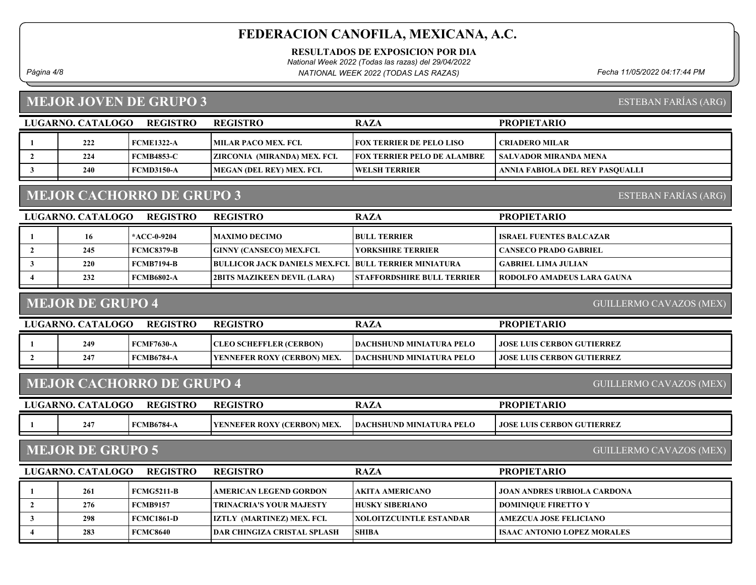RESULTADOS DE EXPOSICION POR DIA

National Week 2022 (Todas las razas) del 29/04/2022

Página 4/8 Fecha 11/05/2022 04:17:44 PM NATIONAL WEEK 2022 (TODAS LAS RAZAS)

## MEJOR JOVEN DE GRUPO 3

ESTEBAN FARÍAS (ARG)

ESTEBAN FARÍAS (ARG)

| LUGARNO, CATALOGO<br><b>REGISTRO</b> |     |                   | <b>REGISTRO</b>              | <b>RAZA</b>                        | <b>PROPIETARIO</b>              |
|--------------------------------------|-----|-------------------|------------------------------|------------------------------------|---------------------------------|
|                                      | 222 | <b>FCME1322-A</b> | MILAR PACO MEX. FCI.         | <b>FOX TERRIER DE PELO LISO</b>    | <b>CRIADERO MILAR</b>           |
|                                      | 224 | <b>FCMB4853-C</b> | ZIRCONIA (MIRANDA) MEX. FCI. | <b>FOX TERRIER PELO DE ALAMBRE</b> | SALVADOR MIRANDA MENA           |
|                                      | 240 | <b>FCMD3150-A</b> | MEGAN (DEL REY) MEX. FCI.    | <b>IWELSH TERRIER</b>              | ANNIA FABIOLA DEL REY PASOUALLI |
|                                      |     |                   |                              |                                    |                                 |

# MEJOR CACHORRO DE GRUPO 3

| LUGARNO. CATALOGO | <b>REGISTRO</b>   | <b>REGISTRO</b>                                               | <b>RAZA</b>                       | <b>PROPIETARIO</b>             |
|-------------------|-------------------|---------------------------------------------------------------|-----------------------------------|--------------------------------|
| 16                | *ACC-0-9204       | MAXIMO DECIMO                                                 | <b>BULL TERRIER</b>               | <b>ISRAEL FUENTES BALCAZAR</b> |
| 245               | <b>FCMC8379-B</b> | <b>GINNY (CANSECO) MEX.FCI.</b>                               | <b>TYORKSHIRE TERRIER</b>         | CANSECO PRADO GABRIEL          |
| 220               | <b>FCMB7194-B</b> | <b>BULLICOR JACK DANIELS MEX, FCI, BULL TERRIER MINIATURA</b> |                                   | GABRIEL LIMA JULIAN            |
| 232               | <b>FCMB6802-A</b> | 2BITS MAZIKEEN DEVIL (LARA)                                   | <b>STAFFORDSHIRE BULL TERRIER</b> | RODOLFO AMADEUS LARA GAUNA     |

#### MEJOR DE GRUPO 4

GUILLERMO CAVAZOS (MEX)

| LUGARNO. CATALOGO | <b>REGISTRO</b>   | <b>REGISTRO</b>                | RAZA                             | <b>PROPIETARIO</b>                 |
|-------------------|-------------------|--------------------------------|----------------------------------|------------------------------------|
| 249               | FCMF7630-A        | <b>CLEO SCHEFFLER (CERBON)</b> | <b>TDACHSHUND MINIATURA PELO</b> | <b>LJOSE LUIS CERBON GUTIERREZ</b> |
| 247               | <b>FCMB6784-A</b> | YENNEFER ROXY (CERBON) MEX.    | <b>DACHSHUND MINIATURA PELO</b>  | <b>JOSE LUIS CERBON GUTIERREZ</b>  |
|                   |                   |                                |                                  |                                    |

#### MEJOR CACHORRO DE GRUPO 4

GUILLERMO CAVAZOS (MEX)

| LUGARNO. CATALOGO | <b>REGISTRO</b>   | <b>REGISTRO</b>                     | <b>RAZA</b>              | <b>PROPIETARIO</b>                  |
|-------------------|-------------------|-------------------------------------|--------------------------|-------------------------------------|
| 247               | <b>FCMB6784-A</b> | <b>TYENNEFER ROXY (CERBON) MEX.</b> | DACHSHUND MINIATURA PELO | <b>I JOSE LUIS CERBON GUTIERREZ</b> |
|                   |                   |                                     |                          |                                     |

# MEJOR DE GRUPO 5

GUILLERMO CAVAZOS (MEX)

|     | <b>REGISTRO</b> |                                                                                         | <b>RAZA</b>                                                                                                         | <b>PROPIETARIO</b>                                                        |
|-----|-----------------|-----------------------------------------------------------------------------------------|---------------------------------------------------------------------------------------------------------------------|---------------------------------------------------------------------------|
| 261 |                 | <b>AMERICAN LEGEND GORDON</b>                                                           | <b>AKITA AMERICANO</b>                                                                                              | <b>JOAN ANDRES URBIOLA CARDONA</b>                                        |
| 276 |                 |                                                                                         |                                                                                                                     | <b>DOMINIQUE FIRETTO Y</b>                                                |
| 298 |                 |                                                                                         |                                                                                                                     | AMEZCUA JOSE FELICIANO                                                    |
| 283 |                 |                                                                                         |                                                                                                                     | <b>ISAAC ANTONIO LOPEZ MORALES</b>                                        |
|     |                 | LUGARNO. CATALOGO<br>  FCMG5211-B<br>  FCMB9157<br><b>FCMC1861-D</b><br><b>FCMC8640</b> | <b>REGISTRO</b><br>  TRINACRIA'S YOUR MAJESTY<br><b>IZTLY (MARTINEZ) MEX. FCI.</b><br> DAR CHINGIZA CRISTAL SPLASH_ | <b>HUSKY SIBERIANO</b><br><b>IXOLOITZCUINTLE ESTANDAR</b><br><b>SHIBA</b> |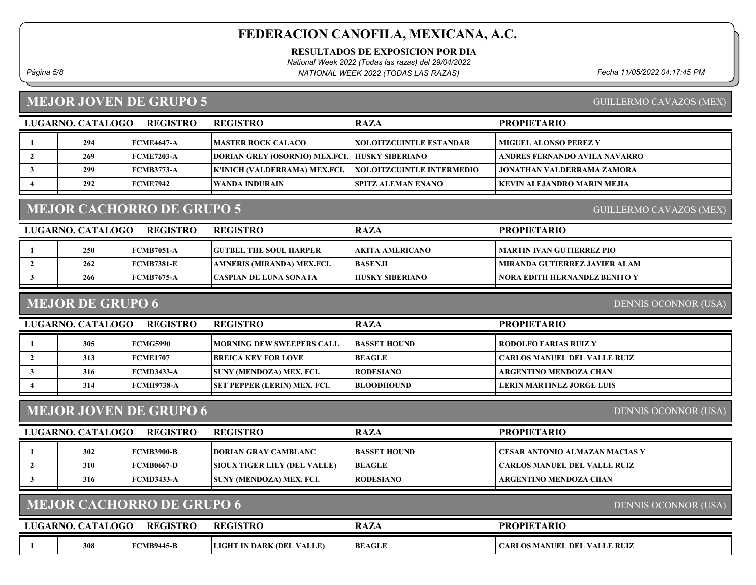RESULTADOS DE EXPOSICION POR DIA

National Week 2022 (Todas las razas) del 29/04/2022

Página 5/8 Fecha 11/05/2022 04:17:45 PM NATIONAL WEEK 2022 (TODAS LAS RAZAS)

#### MEJOR JOVEN DE GRUPO 5

GUILLERMO CAVAZOS (MEX)

GUILLERMO CAVAZOS (MEX)

|     | <b>REGISTRO</b> |                                                                                    | <b>RAZA</b>                                                                                            | <b>PROPIETARIO</b>                                                                                                                                 |
|-----|-----------------|------------------------------------------------------------------------------------|--------------------------------------------------------------------------------------------------------|----------------------------------------------------------------------------------------------------------------------------------------------------|
| 294 |                 |                                                                                    |                                                                                                        | <b>MIGUEL ALONSO PEREZ Y</b>                                                                                                                       |
| 269 |                 |                                                                                    |                                                                                                        | ANDRES FERNANDO AVILA NAVARRO                                                                                                                      |
| 299 |                 |                                                                                    |                                                                                                        | <b>JONATHAN VALDERRAMA ZAMORA</b>                                                                                                                  |
| 292 |                 |                                                                                    |                                                                                                        | KEVIN ALEJANDRO MARIN MEJIA                                                                                                                        |
|     |                 | LUGARNO. CATALOGO<br>  FCME4647-A<br>  FCME7203-A<br>FCMB3773-A<br><b>FCME7942</b> | <b>REGISTRO</b><br><b>MASTER ROCK CALACO</b><br>K'INICH (VALDERRAMA) MEX.FCI.<br><b>WANDA INDURAIN</b> | <b> XOLOITZCUINTLE ESTANDAR</b><br>DORIAN GREY (OSORNIO) MEX.FCI. HUSKY SIBERIANO<br><b>XOLOITZCUINTLE INTERMEDIO</b><br><b>SPITZ ALEMAN ENANO</b> |

# MEJOR CACHORRO DE GRUPO 5

| LUGARNO. CATALOGO<br><b>REGISTRO</b> |     |                   | <b>REGISTRO</b>               | <b>RAZA</b>     | <b>PROPIETARIO</b>            |
|--------------------------------------|-----|-------------------|-------------------------------|-----------------|-------------------------------|
|                                      | 250 | FCMB7051-A        | <b>GUTBEL THE SOUL HARPER</b> | AKITA AMERICANO | MARTIN IVAN GUTIERREZ PIO     |
|                                      | 262 | FCMB7381-E        | AMNERIS (MIRANDA) MEX.FCI.    | <b>BASENJI</b>  | MIRANDA GUTIERREZ JAVIER ALAM |
|                                      | 266 | <b>FCMB7675-A</b> | CASPIAN DE LUNA SONATA        | HUSKY SIBERIANO | NORA EDITH HERNANDEZ BENITO Y |

#### MEJOR DE GRUPO 6

DENNIS OCONNOR (USA)

| <b>REGISTRO</b><br>LUGARNO. CATALOGO |     |                 | <b>REGISTRO</b>                     | <b>RAZA</b>         | <b>PROPIETARIO</b>           |
|--------------------------------------|-----|-----------------|-------------------------------------|---------------------|------------------------------|
|                                      | 305 | FCMG5990        | <b>IMORNING DEW SWEEPERS CALL</b>   | <b>BASSET HOUND</b> | RODOLFO FARIAS RUIZ Y        |
|                                      | 313 | <b>FCME1707</b> | <b>BREICA KEY FOR LOVE</b>          | <b>BEAGLE</b>       | CARLOS MANUEL DEL VALLE RUIZ |
|                                      | 316 | FCMD3433-A      | <b>SUNY (MENDOZA) MEX. FCI.</b>     | <b>RODESIANO</b>    | ARGENTINO MENDOZA CHAN       |
|                                      | 314 | FCMH9738-A      | <b>SET PEPPER (LERIN) MEX. FCI.</b> | <b>BLOODHOUND</b>   | LERIN MARTINEZ JORGE LUIS-   |
|                                      |     |                 |                                     |                     |                              |

#### MEJOR JOVEN DE GRUPO 6

DENNIS OCONNOR (USA)

DENNIS OCONNOR (USA)

| LUGARNO. CATALOGO | <b>REGISTRO</b> | <b>REGISTRO</b>                     | <b>RAZA</b>      | <b>PROPIETARIO</b>                    |
|-------------------|-----------------|-------------------------------------|------------------|---------------------------------------|
| 302               | FCMB3900-B      | <b>DORIAN GRAY CAMBLANC</b>         | BASSET HOUND_    | <b>CESAR ANTONIO ALMAZAN MACIAS Y</b> |
| 310               | FCMB0667-D      | <b>SIOUX TIGER LILY (DEL VALLE)</b> | <b>BEAGLE</b>    | <b>CARLOS MANUEL DEL VALLE RUIZ</b>   |
| 316               | FCMD3433-A      | ISUNY (MENDOZA) MEX. FCI.           | <b>RODESIANO</b> | ARGENTINO MENDOZA CHAN                |

# MEJOR CACHORRO DE GRUPO 6

| <b>CATALOGO</b><br><b>REGISTRO</b><br>LUGARNO. |     |                   | <b>REGISTRO</b>                  | <b>RAZA</b>   | <b>PROPIETARIO</b>           |
|------------------------------------------------|-----|-------------------|----------------------------------|---------------|------------------------------|
|                                                | 308 | <b>FCMB9445-B</b> | <b>LIGHT IN DARK (DEL VALLE)</b> | <b>BEAGLE</b> | CARLOS MANUEL DEL VALLE RUIZ |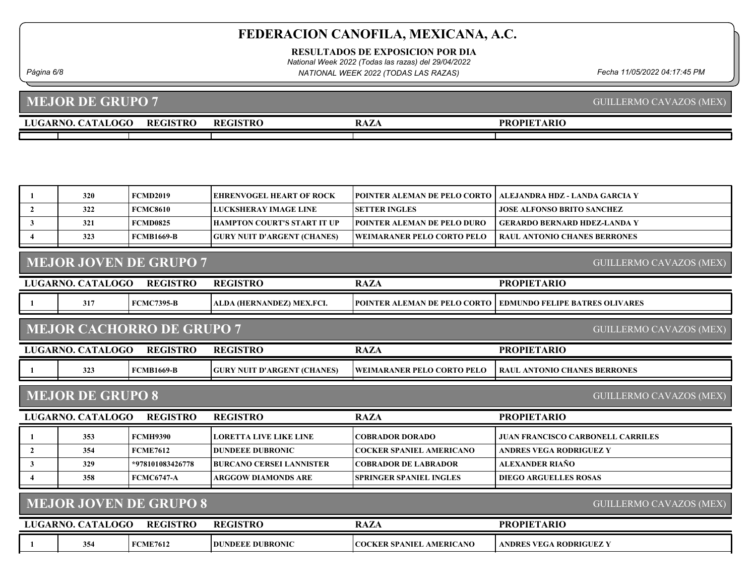RESULTADOS DE EXPOSICION POR DIA

National Week 2022 (Todas las razas) del 29/04/2022

Página 6/8 Fecha 11/05/2022 04:17:45 PM NATIONAL WEEK 2022 (TODAS LAS RAZAS)

GUILLERMO CAVAZOS (MEX)

MEJOR DE GRUPO 7

| <b>OGC</b><br>$\sim$ $\sim$ $\sim$<br>A D T<br>1 A L<br>.<br>. . | <b>REGISTRO</b> | <b>REGISTRO</b> | $\overline{1}$<br>n.<br>ww. | `ARIC<br>$\mathbf{p}_R$<br>$\bigcap \Pi \Gamma \Gamma$ |
|------------------------------------------------------------------|-----------------|-----------------|-----------------------------|--------------------------------------------------------|
|                                                                  |                 |                 |                             |                                                        |

|                                                                 | 320                     | <b>FCMD2019</b>                  | <b>EHRENVOGEL HEART OF ROCK</b>    | POINTER ALEMAN DE PELO CORTO      | ALEJANDRA HDZ - LANDA GARCIA Y           |  |
|-----------------------------------------------------------------|-------------------------|----------------------------------|------------------------------------|-----------------------------------|------------------------------------------|--|
| $\overline{2}$                                                  | 322                     | <b>FCMC8610</b>                  | <b>LUCKSHERAY IMAGE LINE</b>       | <b>SETTER INGLES</b>              | <b>JOSE ALFONSO BRITO SANCHEZ</b>        |  |
| $\mathbf{3}$                                                    | 321                     | <b>FCMD0825</b>                  | <b>HAMPTON COURT'S START IT UP</b> | POINTER ALEMAN DE PELO DURO       | <b>GERARDO BERNARD HDEZ-LANDA Y</b>      |  |
| 4                                                               | 323                     | <b>FCMB1669-B</b>                | <b>GURY NUIT D'ARGENT (CHANES)</b> | <b>WEIMARANER PELO CORTO PELO</b> | <b>RAUL ANTONIO CHANES BERRONES</b>      |  |
|                                                                 |                         |                                  |                                    |                                   |                                          |  |
|                                                                 |                         | <b>MEJOR JOVEN DE GRUPO 7</b>    |                                    |                                   | GUILLERMO CAVAZOS (MEX)                  |  |
|                                                                 | LUGARNO. CATALOGO       | <b>REGISTRO</b>                  | <b>REGISTRO</b>                    | <b>RAZA</b>                       | <b>PROPIETARIO</b>                       |  |
| -1                                                              | 317                     | <b>FCMC7395-B</b>                | ALDA (HERNANDEZ) MEX.FCI.          | POINTER ALEMAN DE PELO CORTO      | <b>EDMUNDO FELIPE BATRES OLIVARES</b>    |  |
|                                                                 |                         | <b>MEJOR CACHORRO DE GRUPO 7</b> |                                    |                                   | <b>GUILLERMO CAVAZOS (MEX)</b>           |  |
|                                                                 | LUGARNO. CATALOGO       | <b>REGISTRO</b>                  | <b>REGISTRO</b>                    | <b>RAZA</b>                       | <b>PROPIETARIO</b>                       |  |
|                                                                 | 323                     | <b>FCMB1669-B</b>                | <b>GURY NUIT D'ARGENT (CHANES)</b> | <b>WEIMARANER PELO CORTO PELO</b> | <b>RAUL ANTONIO CHANES BERRONES</b>      |  |
|                                                                 | <b>MEJOR DE GRUPO 8</b> |                                  |                                    |                                   | <b>GUILLERMO CAVAZOS (MEX)</b>           |  |
|                                                                 | LUGARNO. CATALOGO       | <b>REGISTRO</b>                  | <b>REGISTRO</b>                    | <b>RAZA</b>                       | <b>PROPIETARIO</b>                       |  |
|                                                                 | 353                     | <b>FCMH9390</b>                  | <b>LORETTA LIVE LIKE LINE</b>      | <b>COBRADOR DORADO</b>            | <b>JUAN FRANCISCO CARBONELL CARRILES</b> |  |
| $\mathbf{2}$                                                    | 354                     | <b>FCME7612</b>                  | <b>DUNDEEE DUBRONIC</b>            | <b>COCKER SPANIEL AMERICANO</b>   | <b>ANDRES VEGA RODRIGUEZ Y</b>           |  |
| 3                                                               | 329                     | *978101083426778                 | <b>BURCANO CERSEI LANNISTER</b>    | <b>COBRADOR DE LABRADOR</b>       | <b>ALEXANDER RIAÑO</b>                   |  |
|                                                                 | 358                     | <b>FCMC6747-A</b>                | <b>ARGGOW DIAMONDS ARE</b>         | <b>SPRINGER SPANIEL INGLES</b>    | <b>DIEGO ARGUELLES ROSAS</b>             |  |
| <b>MEJOR JOVEN DE GRUPO 8</b><br><b>GUILLERMO CAVAZOS (MEX)</b> |                         |                                  |                                    |                                   |                                          |  |
|                                                                 |                         |                                  |                                    |                                   |                                          |  |
|                                                                 | LUGARNO. CATALOGO       | <b>REGISTRO</b>                  | <b>REGISTRO</b>                    | <b>RAZA</b>                       | <b>PROPIETARIO</b>                       |  |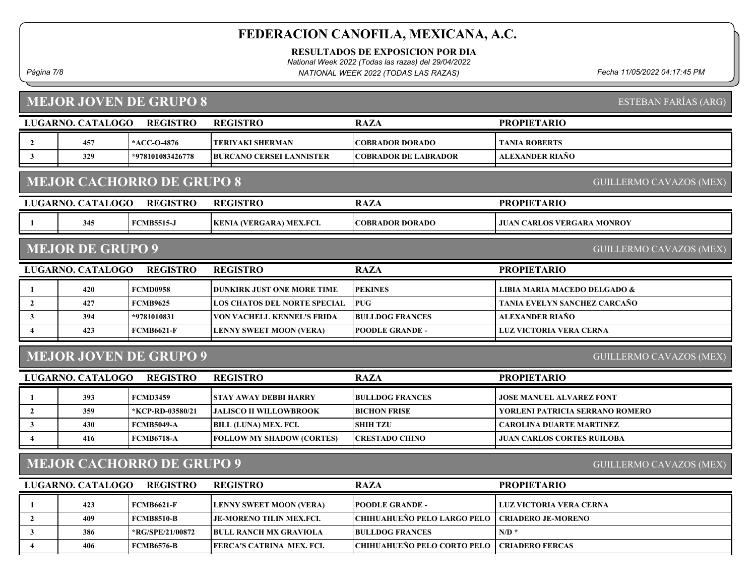RESULTADOS DE EXPOSICION POR DIA

National Week 2022 (Todas las razas) del 29/04/2022

Página 7/8 Fecha 11/05/2022 04:17:45 PM NATIONAL WEEK 2022 (TODAS LAS RAZAS)

#### MEJOR JOVEN DE GRUPO 8

|                                                                    | LUGARNO. CATALOGO                                         | <b>REGISTRO</b>               | <b>REGISTRO</b>                   | <b>RAZA</b>                 | <b>PROPIETARIO</b>                |  |  |  |
|--------------------------------------------------------------------|-----------------------------------------------------------|-------------------------------|-----------------------------------|-----------------------------|-----------------------------------|--|--|--|
| $\mathbf{2}$                                                       | 457                                                       | *ACC-O-4876                   | TERIYAKI SHERMAN                  | <b>COBRADOR DORADO</b>      | <b>TANIA ROBERTS</b>              |  |  |  |
|                                                                    | 329                                                       | *978101083426778              | <b>BURCANO CERSEI LANNISTER</b>   | <b>COBRADOR DE LABRADOR</b> | ALEXANDER RIAÑO                   |  |  |  |
| <b>MEJOR CACHORRO DE GRUPO 8</b><br><b>GUILLERMO CAVAZOS (MEX)</b> |                                                           |                               |                                   |                             |                                   |  |  |  |
|                                                                    | LUGARNO. CATALOGO                                         | <b>REGISTRO</b>               | <b>REGISTRO</b>                   | <b>RAZA</b>                 | <b>PROPIETARIO</b>                |  |  |  |
|                                                                    | 345                                                       | <b>FCMB5515-J</b>             | <b>KENIA (VERGARA) MEX.FCI.</b>   | <b>COBRADOR DORADO</b>      | <b>JUAN CARLOS VERGARA MONROY</b> |  |  |  |
|                                                                    | <b>MEJOR DE GRUPO 9</b><br><b>GUILLERMO CAVAZOS (MEX)</b> |                               |                                   |                             |                                   |  |  |  |
| LUGARNO. CATALOGO<br><b>REGISTRO</b>                               |                                                           |                               |                                   |                             |                                   |  |  |  |
|                                                                    |                                                           |                               | <b>REGISTRO</b>                   | <b>RAZA</b>                 | <b>PROPIETARIO</b>                |  |  |  |
|                                                                    | 420                                                       | <b>FCMD0958</b>               | <b>DUNKIRK JUST ONE MORE TIME</b> | <b>PEKINES</b>              | LIBIA MARIA MACEDO DELGADO &      |  |  |  |
| $\overline{2}$                                                     | 427                                                       | <b>FCMB9625</b>               | LOS CHATOS DEL NORTE SPECIAL      | <b>PUG</b>                  | TANIA EVELYN SANCHEZ CARCAÑO      |  |  |  |
| 3                                                                  | 394                                                       | *9781010831                   | <b>VON VACHELL KENNEL'S FRIDA</b> | <b>BULLDOG FRANCES</b>      | ALEXANDER RIAÑO                   |  |  |  |
|                                                                    | 423                                                       | <b>FCMB6621-F</b>             | <b>LENNY SWEET MOON (VERA)</b>    | <b>POODLE GRANDE -</b>      | LUZ VICTORIA VERA CERNA           |  |  |  |
|                                                                    |                                                           | <b>MEJOR JOVEN DE GRUPO 9</b> |                                   |                             | <b>GUILLERMO CAVAZOS (MEX)</b>    |  |  |  |
|                                                                    | LUGARNO. CATALOGO                                         | <b>REGISTRO</b>               | <b>REGISTRO</b>                   | <b>RAZA</b>                 | <b>PROPIETARIO</b>                |  |  |  |
|                                                                    | 393                                                       | <b>FCMD3459</b>               | <b>STAY AWAY DEBBI HARRY</b>      | <b>BULLDOG FRANCES</b>      | <b>JOSE MANUEL ALVAREZ FONT</b>   |  |  |  |

2 | 359 | KCP-RD-03580/21 |JALISCO II WILLOWBROOK | BICHON FRISE | YORLENI PATRICIA SERRANO ROMERO 3 430 FCMB5049-A BILL (LUNA) MEX. FCI. SHIH TZU CAROLINA DUARTE MARTINEZ 4 416 FCMB6718-A FOLLOW MY SHADOW (CORTES) CRESTADO CHINO JUAN CARLOS CORTES RUILOBA

## MEJOR CACHORRO DE GRUPO 9

LUGARNO. CATALOGO REGISTRO RAZA PROPIETARIO REGISTRO 1 423 FCMB6621-F LENNY SWEET MOON (VERA) POODLE GRANDE - LUZ VICTORIA VERA CERNA 2 | 409 FCMB8510-B JE-MORENO TILIN MEX.FCI. CHIHUAHUEÑO PELO LARGO PELO | CRIADERO JE-MORENO 3 386 \*RG/SPE/21/00872 BULL RANCH MX GRAVIOLA BULLDOG FRANCES N/D \* 4 406 FCMB6576-B FERCA'S CATRINA MEX. FCI. CHIHUAHUEÑO PELO CORTO PELO | CRIADERO FERCAS

ESTEBAN FARÍAS (ARG)

GUILLERMO CAVAZOS (MEX)